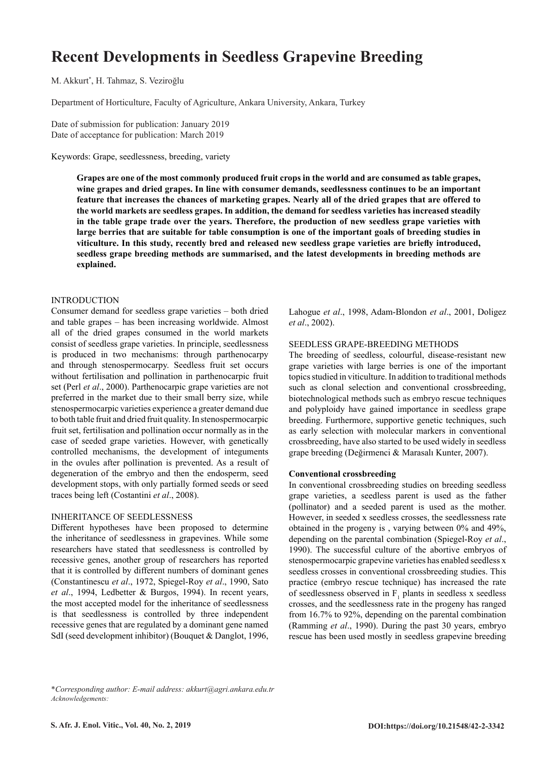# **Recent Developments in Seedless Grapevine Breeding**

M. Akkurt\* , H. Tahmaz, S. Veziroğlu

Department of Horticulture, Faculty of Agriculture, Ankara University, Ankara, Turkey

Date of submission for publication: January 2019 Date of acceptance for publication: March 2019

Keywords: Grape, seedlessness, breeding, variety

**Grapes are one of the most commonly produced fruit crops in the world and are consumed as table grapes, wine grapes and dried grapes. In line with consumer demands, seedlessness continues to be an important feature that increases the chances of marketing grapes. Nearly all of the dried grapes that are offered to the world markets are seedless grapes. In addition, the demand for seedless varieties has increased steadily in the table grape trade over the years. Therefore, the production of new seedless grape varieties with large berries that are suitable for table consumption is one of the important goals of breeding studies in viticulture. In this study, recently bred and released new seedless grape varieties are briefly introduced, seedless grape breeding methods are summarised, and the latest developments in breeding methods are explained.**

### INTRODUCTION

Consumer demand for seedless grape varieties – both dried and table grapes – has been increasing worldwide. Almost all of the dried grapes consumed in the world markets consist of seedless grape varieties. In principle, seedlessness is produced in two mechanisms: through parthenocarpy and through stenospermocarpy. Seedless fruit set occurs without fertilisation and pollination in parthenocarpic fruit set (Perl *et al*., 2000). Parthenocarpic grape varieties are not preferred in the market due to their small berry size, while stenospermocarpic varieties experience a greater demand due to both table fruit and dried fruit quality. In stenospermocarpic fruit set, fertilisation and pollination occur normally as in the case of seeded grape varieties. However, with genetically controlled mechanisms, the development of integuments in the ovules after pollination is prevented. As a result of degeneration of the embryo and then the endosperm, seed development stops, with only partially formed seeds or seed traces being left (Costantini *et al*., 2008).

## INHERITANCE OF SEEDLESSNESS

Different hypotheses have been proposed to determine the inheritance of seedlessness in grapevines. While some researchers have stated that seedlessness is controlled by recessive genes, another group of researchers has reported that it is controlled by different numbers of dominant genes (Constantinescu *et al*., 1972, Spiegel-Roy *et al*., 1990, Sato *et al*., 1994, Ledbetter & Burgos, 1994). In recent years, the most accepted model for the inheritance of seedlessness is that seedlessness is controlled by three independent recessive genes that are regulated by a dominant gene named SdI (seed development inhibitor) (Bouquet & Danglot, 1996,

Lahogue *et al*., 1998, Adam-Blondon *et al*., 2001, Doligez *et al*., 2002).

# SEEDLESS GRAPE-BREEDING METHODS

The breeding of seedless, colourful, disease-resistant new grape varieties with large berries is one of the important topics studied in viticulture. In addition to traditional methods such as clonal selection and conventional crossbreeding, biotechnological methods such as embryo rescue techniques and polyploidy have gained importance in seedless grape breeding. Furthermore, supportive genetic techniques, such as early selection with molecular markers in conventional crossbreeding, have also started to be used widely in seedless grape breeding (Değirmenci & Marasalı Kunter, 2007).

#### **Conventional crossbreeding**

In conventional crossbreeding studies on breeding seedless grape varieties, a seedless parent is used as the father (pollinator) and a seeded parent is used as the mother. However, in seeded x seedless crosses, the seedlessness rate obtained in the progeny is , varying between 0% and 49%, depending on the parental combination (Spiegel-Roy *et al*., 1990). The successful culture of the abortive embryos of stenospermocarpic grapevine varieties has enabled seedless x seedless crosses in conventional crossbreeding studies. This practice (embryo rescue technique) has increased the rate of seedlessness observed in  $F_1$  plants in seedless x seedless crosses, and the seedlessness rate in the progeny has ranged from 16.7% to 92%, depending on the parental combination (Ramming *et al*., 1990). During the past 30 years, embryo rescue has been used mostly in seedless grapevine breeding

<sup>\*</sup>*Corresponding author: E-mail address: akkurt@agri.ankara.edu.tr Acknowledgements:*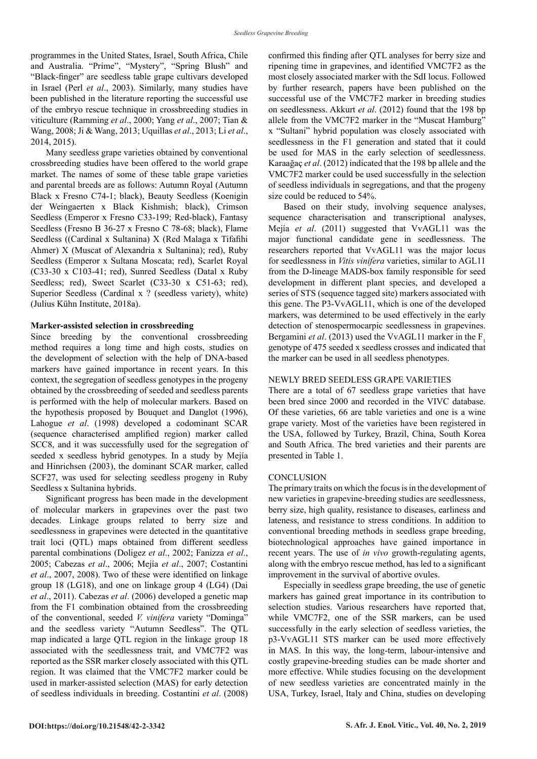programmes in the United States, Israel, South Africa, Chile and Australia. "Prime", "Mystery", "Spring Blush" and "Black-finger" are seedless table grape cultivars developed in Israel (Perl *et al*., 2003). Similarly, many studies have been published in the literature reporting the successful use of the embryo rescue technique in crossbreeding studies in viticulture (Ramming *et al*., 2000; Yang *et al*., 2007; Tian & Wang, 2008; Ji & Wang, 2013; Uquillas *et al*., 2013; Li *et al*., 2014, 2015).

Many seedless grape varieties obtained by conventional crossbreeding studies have been offered to the world grape market. The names of some of these table grape varieties and parental breeds are as follows: Autumn Royal (Autumn Black x Fresno C74-1; black), Beauty Seedless (Koenigin der Weingaerten x Black Kishmish; black), Crimson Seedless (Emperor x Fresno C33-199; Red-black), Fantasy Seedless (Fresno B 36-27 x Fresno C 78-68; black), Flame Seedless ((Cardinal x Sultanina) X (Red Malaga x Tifafihi Ahmer) X (Muscat of Alexandria x Sultanina); red), Ruby Seedless (Emperor x Sultana Moscata; red), Scarlet Royal (C33-30 x C103-41; red), Sunred Seedless (Datal x Ruby Seedless; red), Sweet Scarlet (C33-30 x C51-63; red), Superior Seedless (Cardinal x ? (seedless variety), white) (Julius Kühn Institute, 2018a).

### **Marker-assisted selection in crossbreeding**

Since breeding by the conventional crossbreeding method requires a long time and high costs, studies on the development of selection with the help of DNA-based markers have gained importance in recent years. In this context, the segregation of seedless genotypes in the progeny obtained by the crossbreeding of seeded and seedless parents is performed with the help of molecular markers. Based on the hypothesis proposed by Bouquet and Danglot (1996), Lahogue *et al*. (1998) developed a codominant SCAR (sequence characterised amplified region) marker called SCC8, and it was successfully used for the segregation of seeded x seedless hybrid genotypes. In a study by Mejía and Hinrichsen (2003), the dominant SCAR marker, called SCF27, was used for selecting seedless progeny in Ruby Seedless x Sultanina hybrids.

Significant progress has been made in the development of molecular markers in grapevines over the past two decades. Linkage groups related to berry size and seedlessness in grapevines were detected in the quantitative trait loci (QTL) maps obtained from different seedless parental combinations (Doligez *et al*., 2002; Fanizza *et al*., 2005; Cabezas *et al*., 2006; Mejía *et al*., 2007; Costantini *et al*., 2007, 2008). Two of these were identified on linkage group 18 (LG18), and one on linkage group 4 (LG4) (Dai *et al*., 2011). Cabezas *et al*. (2006) developed a genetic map from the F1 combination obtained from the crossbreeding of the conventional, seeded *V. vinifera* variety "Dominga" and the seedless variety "Autumn Seedless". The QTL map indicated a large QTL region in the linkage group 18 associated with the seedlessness trait, and VMC7F2 was reported as the SSR marker closely associated with this QTL region. It was claimed that the VMC7F2 marker could be used in marker-assisted selection (MAS) for early detection of seedless individuals in breeding. Costantini *et al*. (2008)

confirmed this finding after QTL analyses for berry size and ripening time in grapevines, and identified VMC7F2 as the most closely associated marker with the SdI locus. Followed by further research, papers have been published on the successful use of the VMC7F2 marker in breeding studies on seedlessness. Akkurt *et al*. (2012) found that the 198 bp allele from the VMC7F2 marker in the "Muscat Hamburg" x "Sultani" hybrid population was closely associated with seedlessness in the F1 generation and stated that it could be used for MAS in the early selection of seedlessness. Karaağaç *et al*. (2012) indicated that the 198 bp allele and the VMC7F2 marker could be used successfully in the selection of seedless individuals in segregations, and that the progeny size could be reduced to 54%.

Based on their study, involving sequence analyses, sequence characterisation and transcriptional analyses, Mejía *et al*. (2011) suggested that VvAGL11 was the major functional candidate gene in seedlessness. The researchers reported that VvAGL11 was the major locus for seedlessness in *Vitis vinifera* varieties, similar to AGL11 from the D-lineage MADS-box family responsible for seed development in different plant species, and developed a series of STS (sequence tagged site) markers associated with this gene. The P3-VvAGL11, which is one of the developed markers, was determined to be used effectively in the early detection of stenospermocarpic seedlessness in grapevines. Bergamini *et al.* (2013) used the VvAGL11 marker in the F. genotype of 475 seeded x seedless crosses and indicated that the marker can be used in all seedless phenotypes.

#### NEWLY BRED SEEDLESS GRAPE VARIETIES

There are a total of 67 seedless grape varieties that have been bred since 2000 and recorded in the VIVC database. Of these varieties, 66 are table varieties and one is a wine grape variety. Most of the varieties have been registered in the USA, followed by Turkey, Brazil, China, South Korea and South Africa. The bred varieties and their parents are presented in Table 1.

#### **CONCLUSION**

The primary traits on which the focus is in the development of new varieties in grapevine-breeding studies are seedlessness, berry size, high quality, resistance to diseases, earliness and lateness, and resistance to stress conditions. In addition to conventional breeding methods in seedless grape breeding, biotechnological approaches have gained importance in recent years. The use of *in vivo* growth-regulating agents, along with the embryo rescue method, has led to a significant improvement in the survival of abortive ovules.

Especially in seedless grape breeding, the use of genetic markers has gained great importance in its contribution to selection studies. Various researchers have reported that, while VMC7F2, one of the SSR markers, can be used successfully in the early selection of seedless varieties, the p3-VvAGL11 STS marker can be used more effectively in MAS. In this way, the long-term, labour-intensive and costly grapevine-breeding studies can be made shorter and more effective. While studies focusing on the development of new seedless varieties are concentrated mainly in the USA, Turkey, Israel, Italy and China, studies on developing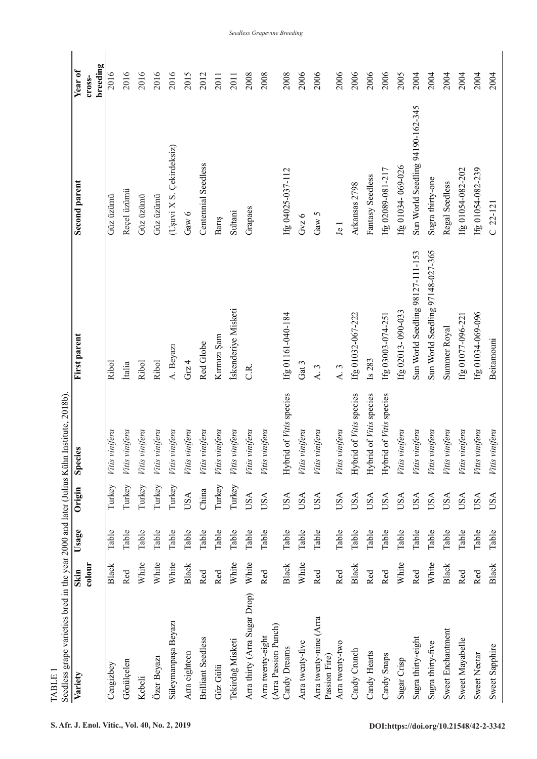| Variety                                   | colour<br>Skin | Usage | Origin | Species                 | <b>First parent</b>              | <b>Second parent</b>             | Year of<br>cross- |
|-------------------------------------------|----------------|-------|--------|-------------------------|----------------------------------|----------------------------------|-------------------|
|                                           |                |       |        |                         |                                  |                                  | breeding          |
| Cengizbey                                 | Black          | Table | Turkey | Vitis vinifera          | Ribol                            | Güz üzümü                        | 2016              |
| Gönülçelen                                | Red            | Table | Turkey | Vitis vinifera          | <b>italia</b>                    | Reçel üzümü                      | 2016              |
| Kebeli                                    | White          | Table | Turkey | Vitis vinifera          | Ribol                            | Güz üzümü                        | 2016              |
| Özer Beyazı                               | White          | Table | Turkey | Vitis vinifera          | Ribol                            | Güz üzümü                        | 2016              |
| Süleymanpaşa Beyazı                       | White          | Table | Turkey | Vitis vinifera          | A. Beyazı                        | (Uşuvi X S. Çekirdeksiz)         | 2016              |
| Arra eighteen                             | Black          | Table | USA    | Vitis vinifera          | Grz $4$                          | Gaw 6                            | 2015              |
| <b>Brilliant Seedless</b>                 | Red            | Table | China  | Vitis vinifera          | Red Globe                        | Centennial Seedless              | 2012              |
| Güz Gülü                                  | Red            | Table | Turkey | Vitis vinifera          | Kırmızı Şam                      | Barış                            | 2011              |
| Tekirdağ Misketi                          | White          | Table | Turkey | Vitis vinifera          | Iskenderiye Misketi              | Sultani                          | 2011              |
| Arra thirty (Arra Sugar Drop)             | White          | Table | USA    | Vitis vinifera          | CR.                              | Grapaes                          | 2008              |
| (Arra Passion Punch)<br>Arra twenty-eight | Red            | Table | USA    | Vitis vinifera          |                                  |                                  | 2008              |
| Candy Dreams                              | <b>Black</b>   | Table | USA    | Hybrid of Vitis species | Ifg 01161-040-184                | Ifg 04025-037-112                | 2008              |
| Arra twenty-five                          | White          | Table | USA    | Vitis vinifera          | Gat 3                            | G $vz6$                          | 2006              |
| Arra twenty-nine (Arra<br>Passion Fire)   | Red            | Table | USA    | Vitis vinifera          | A. 3                             | Gaw 5                            | 2006              |
| Arra twenty-two                           | Red            | Table | USA    | Vitis vinifera          | A.3                              | Je <sub>1</sub>                  | 2006              |
| Candy Crunch                              | <b>Black</b>   | Table | USA    | Hybrid of Vitis species | Ifg 01032-067-222                | Arkansas 2798                    | 2006              |
| Candy Hearts                              | Red            | Table | USA    | Hybrid of Vitis species | Is 283                           | Fantasy Seedless                 | 2006              |
| Candy Snaps                               | Red            | Table | USA    | Hybrid of Vitis species | Ifg 03003-074-251                | Ifg 02089-081-217                | 2006              |
| Sugar Crisp                               | White          | Table | USA    | Vitis vinifera          | Ifg 02013-090-033                | Ifg 01034-069-026                | 2005              |
| Sugra thirty-eight                        | Red            | Table | USA    | Vitis vinifera          | Sun World Seedling 98127-111-153 | Sun World Seedling 94190-162-345 | 2004              |
| Sugra thirty-five                         | White          | Table | USA    | Vitis vinifera          | Sun World Seedling 97148-027-365 | Sugra thirty-one                 | 2004              |
| Sweet Enchantment                         | Black          | Table | USA    | Vitis vinifera          | Summer Royal                     | Regal Seedless                   | 2004              |
| Sweet Mayabelle                           | Red            | Table | USA    | Vitis vinifera          | Ifg 01077-096-221                | Ifg 01054-082-202                | 2004              |
| Sweet Nectar                              | Red            | Table | USA    | Vitis vinifera          | Ifg 01034-069-096                | Ifg 01054-082-239                | 2004              |
| Sweet Sapphire                            | <b>Black</b>   | Table | USA    |                         |                                  |                                  |                   |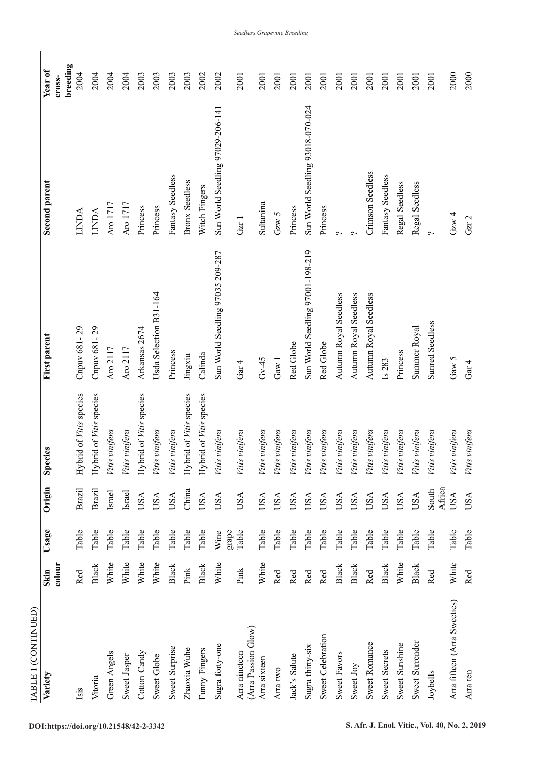| Variety                              | colour<br>Skin | Usage          | Origin          | Species                    | First parent                     | <b>Second parent</b>             | breeding<br>Year of<br>cross- |
|--------------------------------------|----------------|----------------|-----------------|----------------------------|----------------------------------|----------------------------------|-------------------------------|
| Isis                                 | Red            | Table          | <b>Brazil</b>   | of Vitis species<br>Hybrid | Cnpuv 681-29                     | LINDA                            | 2004                          |
| Vitoria                              | <b>Black</b>   | Table          | <b>Brazil</b>   | Hybrid of Vitis species    | Cnpuv 681-29                     | LINDA                            | 2004                          |
| Green Angels                         | White          | Table          | Israel          | Vitis vinifera             | Aro 2117                         | Aro 1717                         | 2004                          |
| Sweet Jasper                         | White          | Table          | Israel          | Vitis vinifera             | Aro 2117                         | Aro 1717                         | 2004                          |
| Cotton Candy                         | White          | Table          | USA             | Hybrid of Vitis species    | Arkansas 2674                    | Princess                         | 2003                          |
| Sweet Globe                          | White          | Table          | USA             | Vitis vinifera             | Usda Selection B31-164           | Princess                         | 2003                          |
| Sweet Surprise                       | Black          | Table          | USA             | Vitis vinifera             | Princess                         | Fantasy Seedless                 | 2003                          |
| Zhaoxia Wuhe                         | Pink           | Table          | China           | Hybrid of Vitis species    | Jingxiu                          | <b>Bronx Seedless</b>            | 2003                          |
| Funny Fingers                        | Black          | Table          | USA             | Hybrid of Vitis species    | Calinda                          | Witch Fingers                    | 2002                          |
| Sugra forty-one                      | White          | Wine           | USA             | Vitis vinifera             | Sun World Seedling 97035 209-287 | Sun World Seedling 97029-206-141 | 2002                          |
| (Arra Passion Glow)<br>Arra nineteen | Pink           | grape<br>Table | USA             | Vitis vinifera             | Gar 4                            | $G\pi 1$                         | 2001                          |
| Arra sixteen                         | White          | Table          | USA             | Vitis vinifera             | $Gv-45$                          | Sultanina                        | 2001                          |
| Arra two                             | Red            | Table          | USA             | Vitis vinifera             | Gaw 1                            | Gzw5                             | 2001                          |
| Jack's Salute                        | Red            | Table          | USA             | Vitis vinifera             | Red Globe                        | Princess                         | 2001                          |
| Sugra thirty-six                     | Red            | Table          | USA             | Vitis vinifera             | Sun World Seedling 97001-198-219 | Sun World Seedling 93018-070-024 | 2001                          |
| Sweet Celebration                    | Red            | Table          | USA             | Vitis vinifera             | Red Globe                        | Princess                         | 2001                          |
| Sweet Favors                         | Black          | Table          | USA             | Vitis vinifera             | Autumn Royal Seedless            | $\sim$                           | 2001                          |
| Sweet Joy                            | Black          | Table          | USA             | Vitis vinifera             | Autumn Royal Seedless            | $\sim$                           | 2001                          |
| Sweet Romance                        | Red            | Table          | USA             | Vitis vinifera             | Autumn Royal Seedless            | <b>Crimson Seedless</b>          | 2001                          |
| <b>Sweet Secrets</b>                 | Black          | Table          | USA             | Vitis vinifera             | Is 283                           | Fantasy Seedless                 | 2001                          |
| Sweet Sunshine                       | White          | Table          | USA             | Vitis vinifera             | Princess                         | Regal Seedless                   | 2001                          |
| Sweet Surrender                      | Black          | Table          | USA             | Vitis vinifera             | Summer Royal                     | Regal Seedless                   | 2001                          |
| Joybells                             | Red            | Table          | Africa<br>South | Vitis vinifera             | <b>Sunred Seedless</b>           | $\sim$                           | 2001                          |
| Arra fifteen (Arra Sweeties)         | White          | Table          | USA             | Vitis vinifera             | Gaw 5                            | $G_{ZN}$ 4                       | 2000                          |
| Arra ten                             | Red            | Table          | USA             | Vitis vinifera             | Gar <sub>4</sub>                 | $G\pi 2$                         | 2000                          |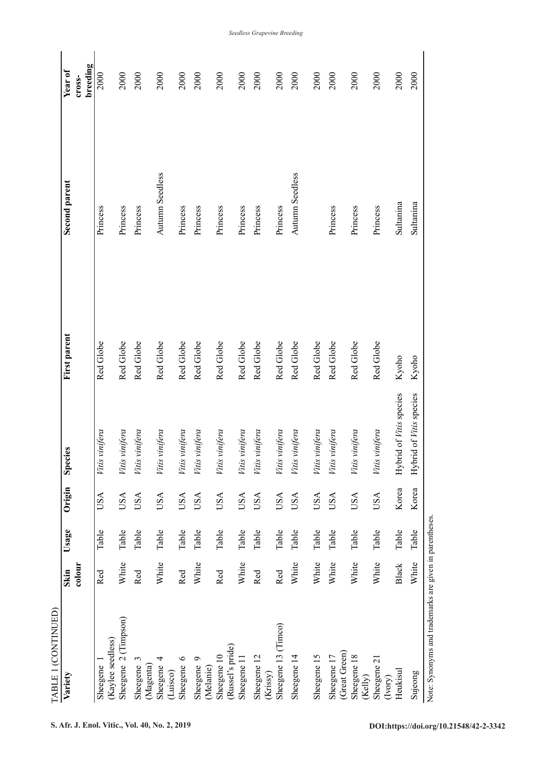| Variety                         | colour       |       | Origin     | Species                      | <b>First parent</b> |                 | $\boldsymbol{c}\boldsymbol{r}\boldsymbol{o}\boldsymbol{s}\boldsymbol{s}$ - |
|---------------------------------|--------------|-------|------------|------------------------------|---------------------|-----------------|----------------------------------------------------------------------------|
| (Kaylee seedless)<br>Sheegene   | Red          | Table | <b>USA</b> | vinifera<br>Vitis            | Red Globe           | Princess        | breeding<br>2000                                                           |
| Sheegene 2 (Timpson)            | White        | Table | USA        | Vitis vinifera               | Red Globe           | Princess        | 2000                                                                       |
| 3<br>Sheegene<br>(Magenta)      | Red          | Table | USA        | Vitis vinifera               | Red Globe           | Princess        | 2000                                                                       |
| 4<br>Sheegene<br>(Luisco)       | White        | Table | USA        | Vitis vinifera               | Red Globe           | Autumn Seedless | 2000                                                                       |
| $\circ$<br>Sheegene             | Red          | Table | USA        | Vitis vinifera               | Red Globe           | Princess        | 2000                                                                       |
| م<br>Sheegene<br>(Melanie)      | White        | Table | USA        | Vitis vinifera               | Red Globe           | Princess        | 2000                                                                       |
| (Russel's pride)<br>Sheegene 10 | Red          | Table | USA        | Vitis vinifera               | Red Globe           | Princess        | 2000                                                                       |
| Sheegene 11                     | White        | Table | USA        | Vitis vinifera               | Red Globe           | Princess        | 2000                                                                       |
| Sheegene 12<br>(Krissy)         | Red          | Table | USA        | Vitis vinifera               | Red Globe           | Princess        | 2000                                                                       |
| Sheegene 13 (Timco)             | Red          | Table | USA        | Vitis vinifera               | Red Globe           | Princess        | 2000                                                                       |
| Sheegene 14                     | White        | Table | USA        | Vitis vinifera               | Red Globe           | Autumn Seedless | 2000                                                                       |
| Sheegene 15                     | White        | Table | USA        | Vitis vinifera               | Red Globe           |                 | 2000                                                                       |
| (Great Green)<br>Sheegene 17    | White        | Table | USA        | vinifera<br>Vitis            | Red Globe           | Princess        | 2000                                                                       |
| Sheegene 18<br>(Kelly)          | White        | Table | USA        | Vitis vinifera               | Red Globe           | Princess        | 2000                                                                       |
| Sheegene 21<br>(Ivory)          | White        | Table | USA        | Vitis vinifera               | Red Globe           | Princess        | 2000                                                                       |
| Heukisul                        | <b>Black</b> | Table | Korea      | Hybrid of Vitis species      | Kyoho               | Sultanina       | 2000                                                                       |
| Sujeong                         | White        | Table | Korea      | id of Vitis species<br>Hybri | Kyoho               | Sultanina       | 2000                                                                       |